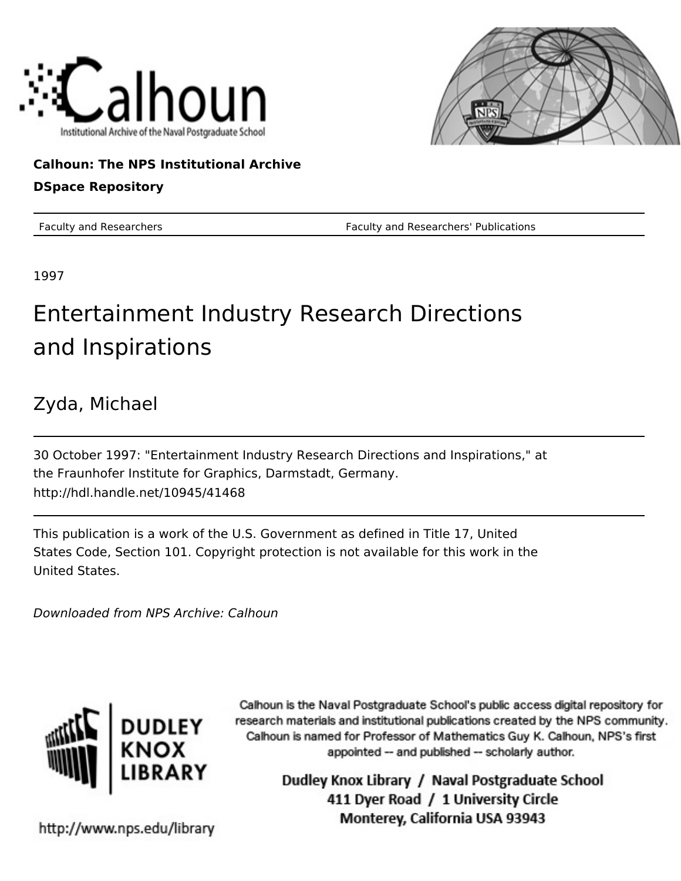



#### **Calhoun: The NPS Institutional Archive**

#### **DSpace Repository**

Faculty and Researchers Faculty and Researchers' Publications

1997

## Entertainment Industry Research Directions and Inspirations

#### Zyda, Michael

30 October 1997: "Entertainment Industry Research Directions and Inspirations," at the Fraunhofer Institute for Graphics, Darmstadt, Germany. http://hdl.handle.net/10945/41468

This publication is a work of the U.S. Government as defined in Title 17, United States Code, Section 101. Copyright protection is not available for this work in the United States.

Downloaded from NPS Archive: Calhoun



Calhoun is the Naval Postgraduate School's public access digital repository for research materials and institutional publications created by the NPS community. Calhoun is named for Professor of Mathematics Guy K. Calhoun, NPS's first appointed -- and published -- scholarly author.

> Dudley Knox Library / Naval Postgraduate School 411 Dyer Road / 1 University Circle Monterey, California USA 93943

http://www.nps.edu/library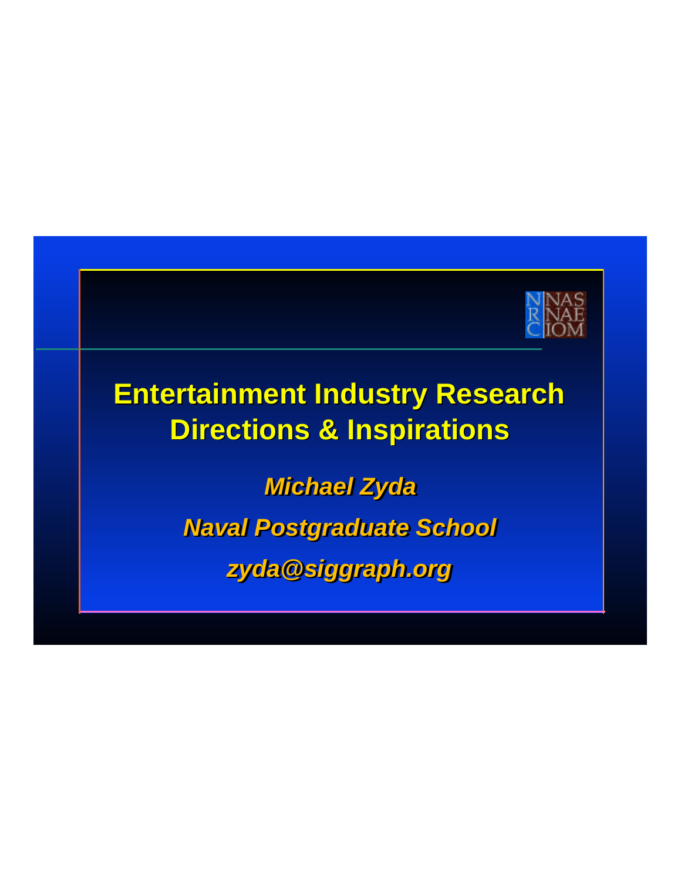

# **Entertainment Industry Research Directions & Inspirations**

*Michael Zyda Naval Postgraduate School zyda@siggraph.org*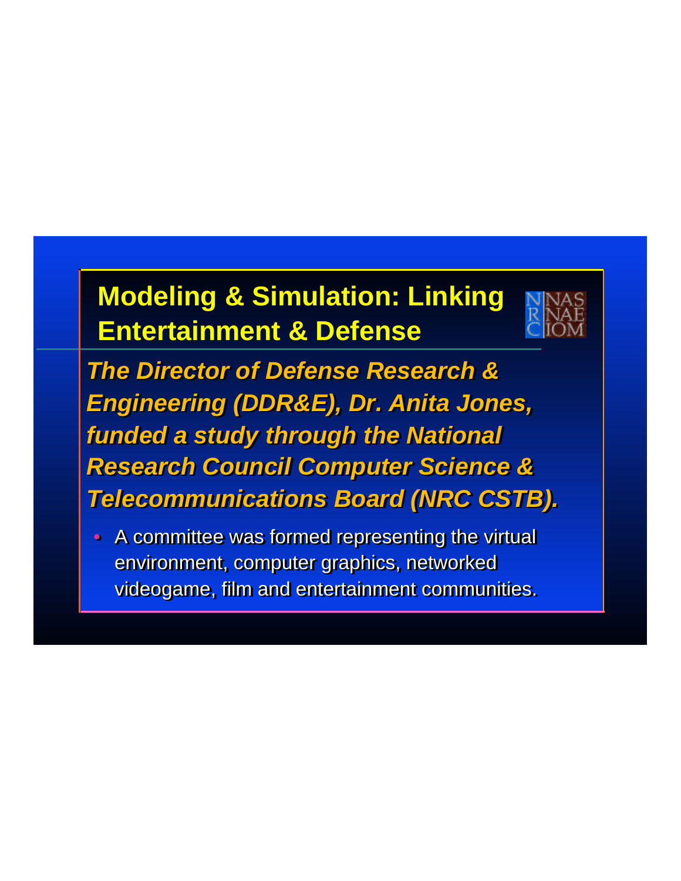# **Modeling & Simulation: Linking Entertainment & Defense**



*The Director of Defense Research & The Director of Defense Research & Engineering (DDR&E), Dr. Anita Jones, Engineering (DDR&E), Dr. Anita Jones, funded a study through the National funded a study through the National Research Council Computer Science & Research Council Computer Science & Telecommunications Board (NRC CSTB). Telecommunications Board (NRC CSTB).*

• A committee was formed representing the virtual • A committee was formed representing the virtual environment, computer graphics, networked environment, computer graphics, networked videogame, film and entertainment communities. videogame, film and entertainment communities.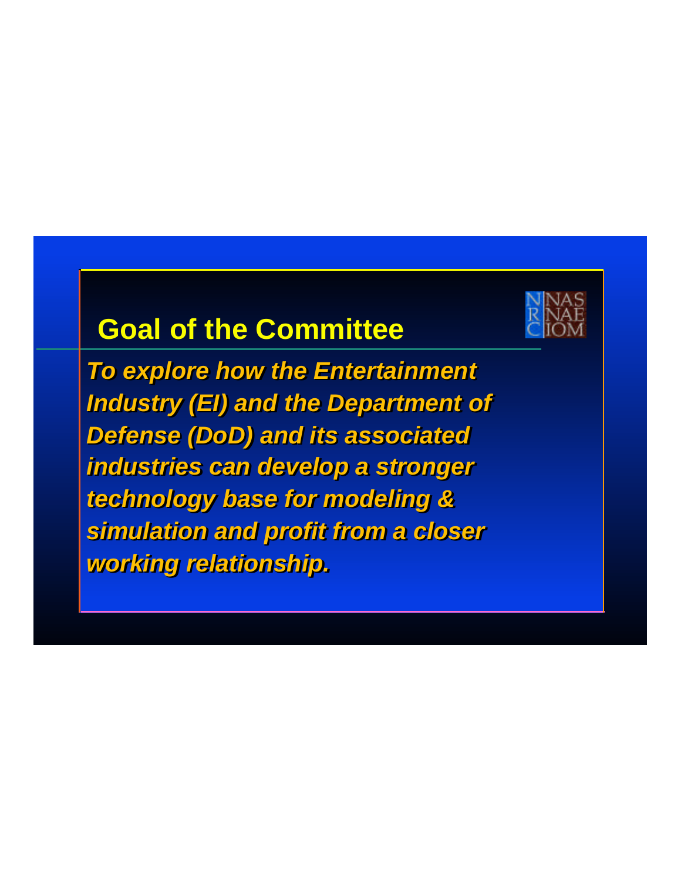#### **Goal of the Committee**



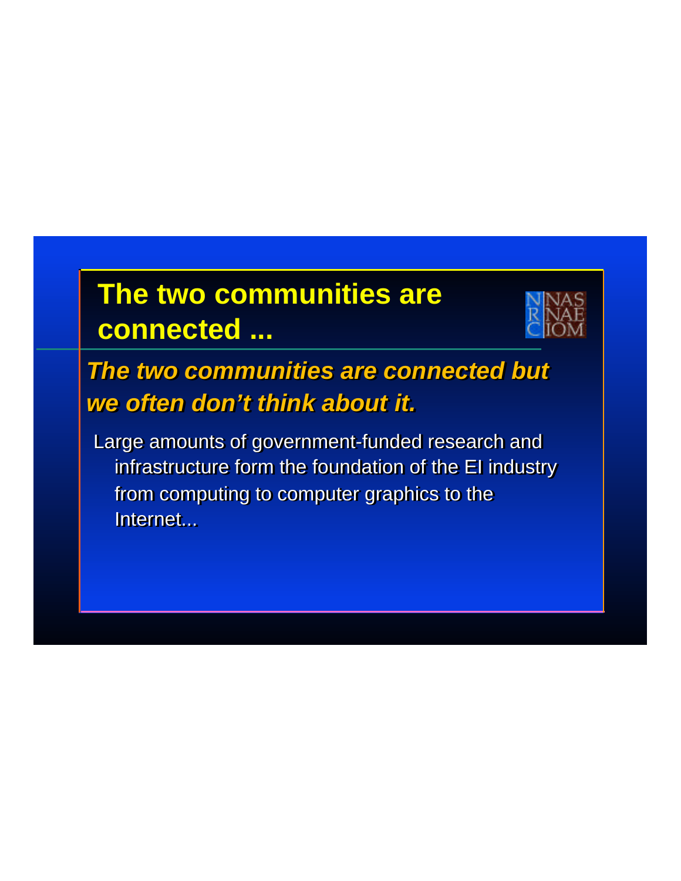# **The two communities are connected ...**



#### *The two communities are connected but The two communities are connected but we often don't think about it. we often don't think about it.*

Large amounts of government-funded research and Large amounts of government-funded research and infrastructure form the foundation of the EI industry  $\qquad \qquad \blacksquare$ from computing to computer graphics to the from computing to computer graphics to the Internet... Internet...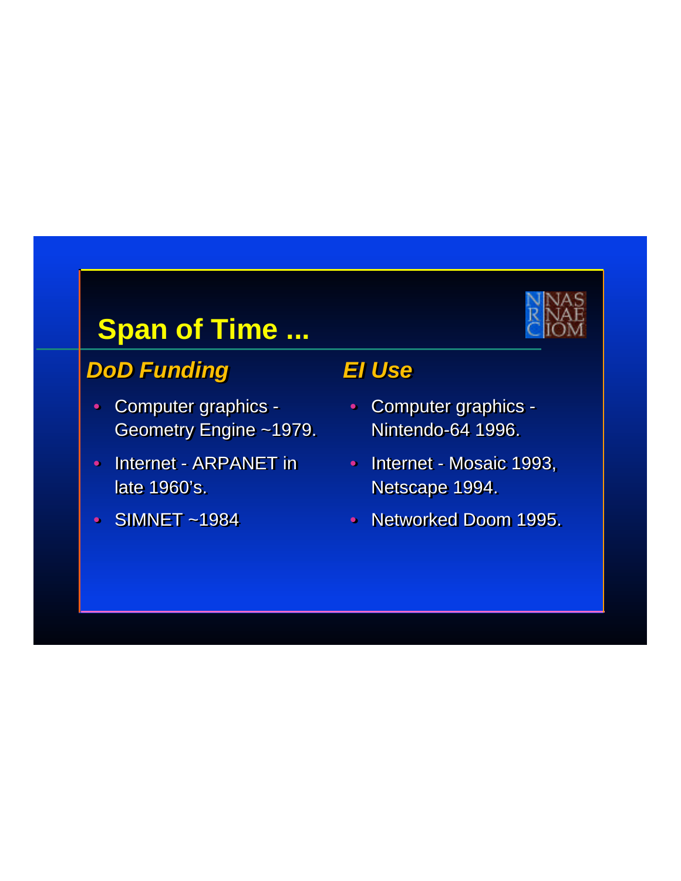## **Span of Time ...**

#### *DoD Funding DoD Funding*

- Computer graphics Computer graphics Geometry Engine ~1979. Geometry Engine ~1979.
- Internet ARPANET in late 1960's. late 1960's.
- SIMNET ~1984 SIMNET ~1984

#### *EI Use EI Use*

- Computer graphics Computer graphics Nintendo-64 1996. Nintendo-64 1996.
- Internet Mosaic 1993, Internet Mosaic 1993, Netscape 1994. Netscape 1994.
- Networked Doom 1995. Networked Doom 1995.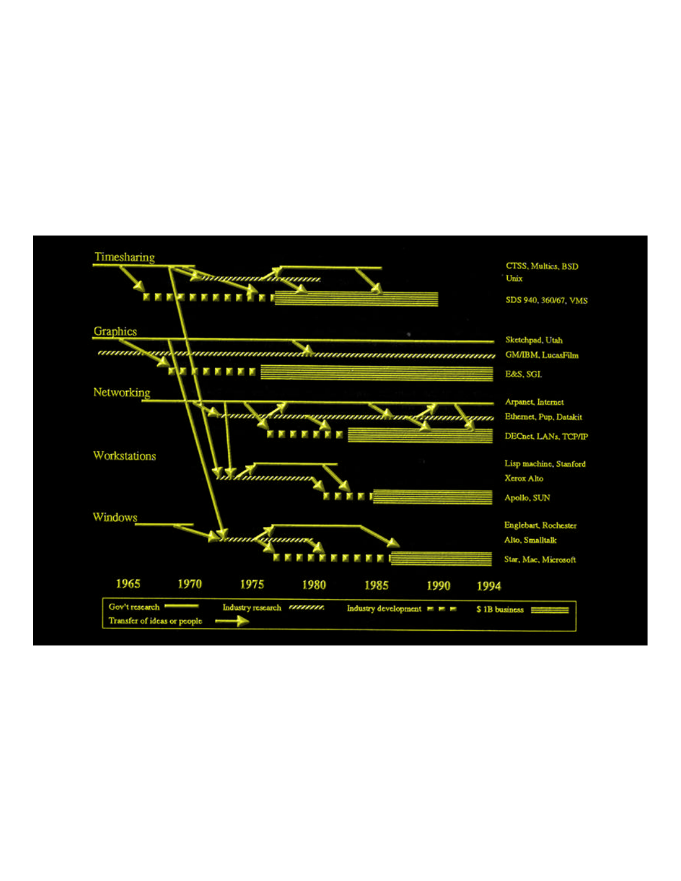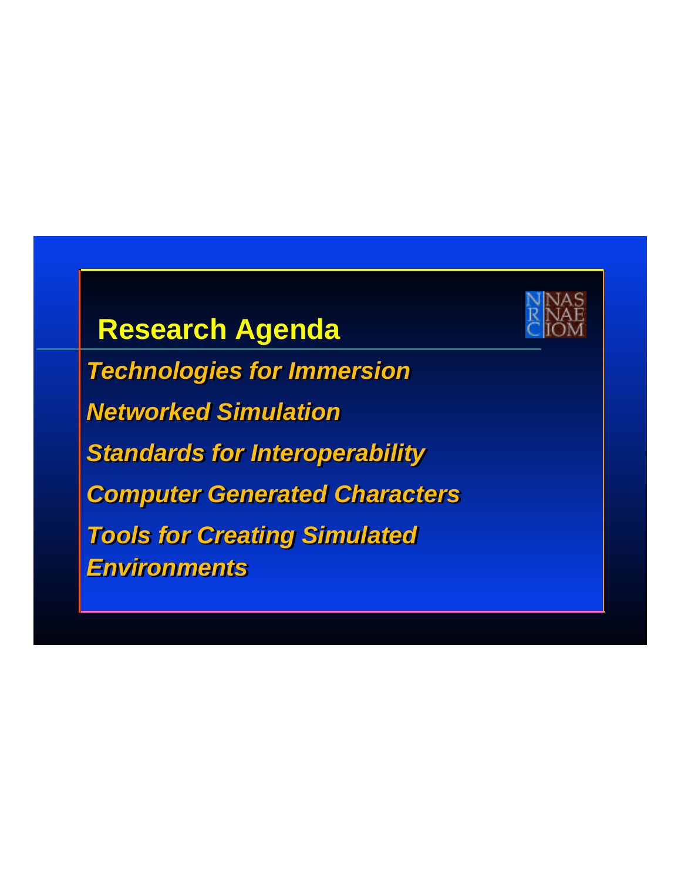## **Research Agenda**

*Technologies for Immersion Technologies for Immersion Networked Simulation Networked Simulation Standards for Interoperability Standards for Interoperability Computer Generated Characters Computer Generated Characters Tools for Creating Simulated Tools for Creating Simulated Environments Environments*

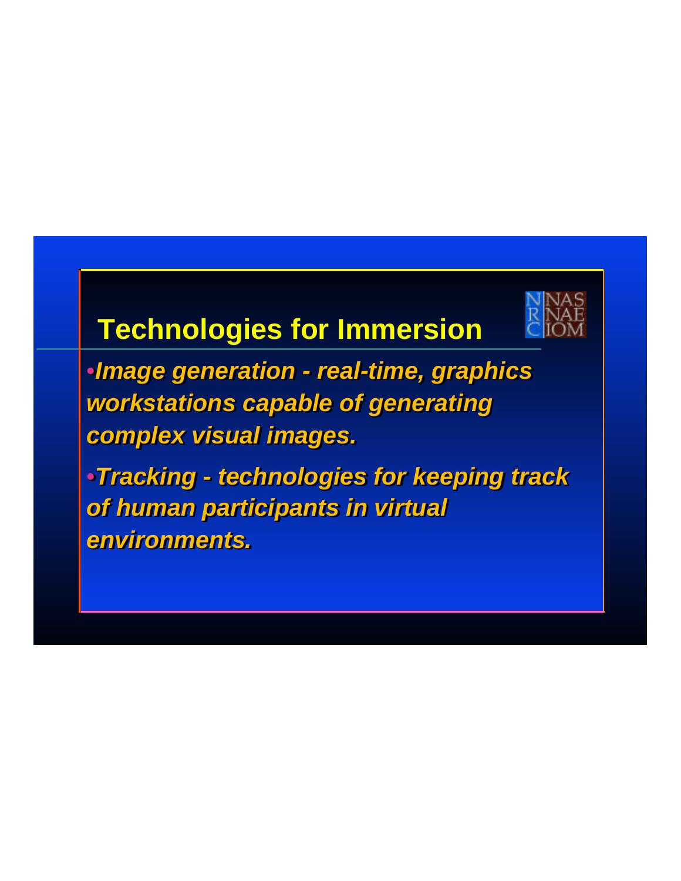# **Technologies for Immersion**



•*Image generation - real-time, graphics*  •*Image generation - real-time, graphics workstations capable of generating workstations capable of generating complex visual images. complex visual images.*

•*Tracking - technologies for keeping track*  •*Tracking - technologies for keeping track of human participants in virtual of human participants in virtual environments. environments.*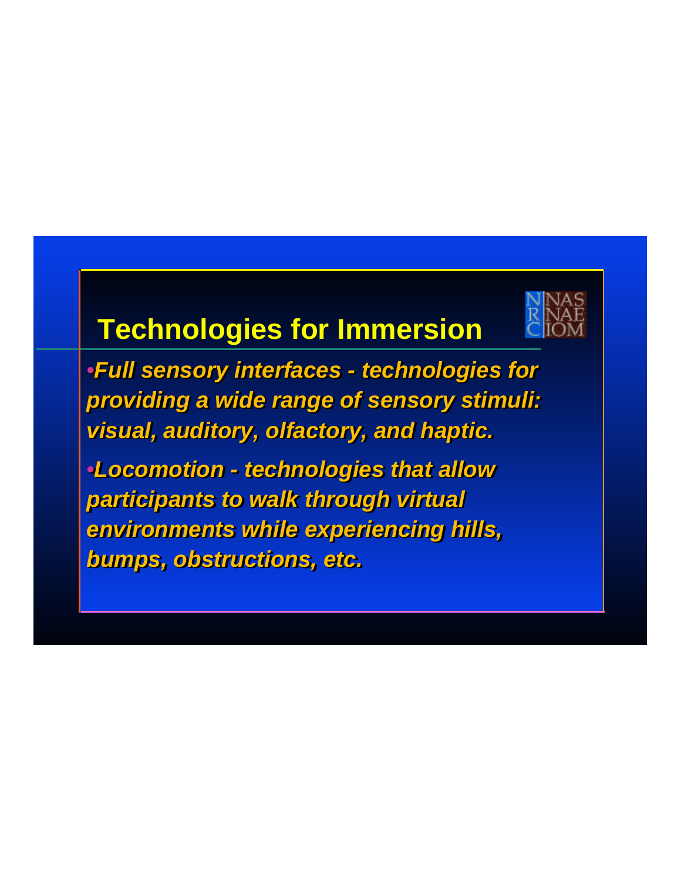# **Technologies for Immersion**

•*Full sensory interfaces - technologies for*  •*Full sensory interfaces - technologies for providing a wide range of sensory stimuli: providing a wide range of sensory stimuli: visual, auditory, olfactory, and haptic. visual, auditory, olfactory, and haptic.* 

•*Locomotion - technologies that allow*  •*Locomotion - technologies that allow participants to walk through virtual participants to walk through virtual environments while experiencing hills, environments while experiencing hills, bumps, obstructions, etc. bumps, obstructions, etc.*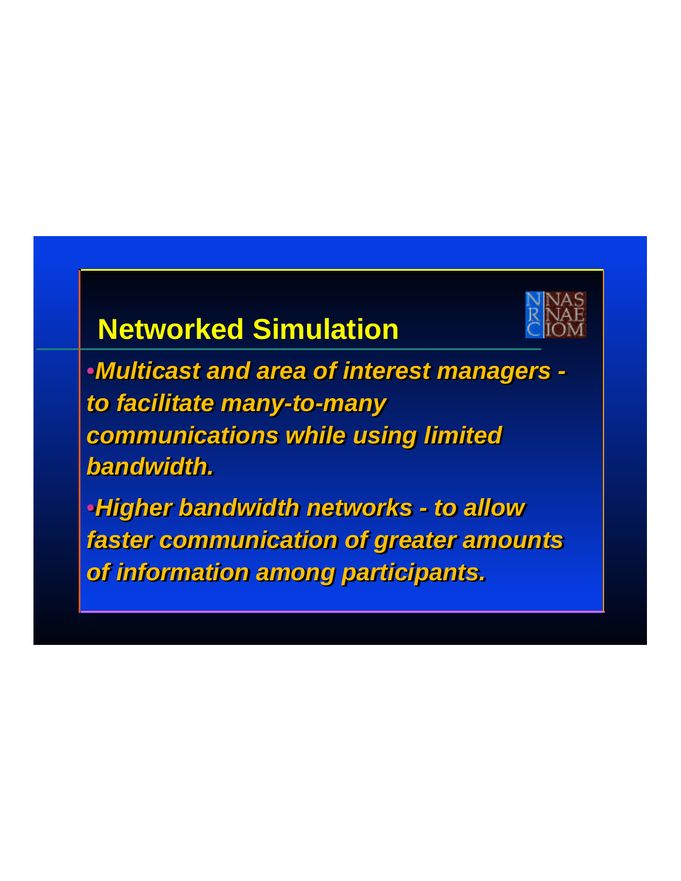# **Networked Simulation**



•*Multicast and area of interest managers -*  •*Multicast and area of interest managers to facilitate many-to-many to facilitate many-to-many communications while using limited communications while using limited bandwidth. bandwidth.* 

•*Higher bandwidth networks - to allow*  •*Higher bandwidth networks - to allow faster communication of greater amounts faster communication of greater amounts of information among participants. of information among participants.*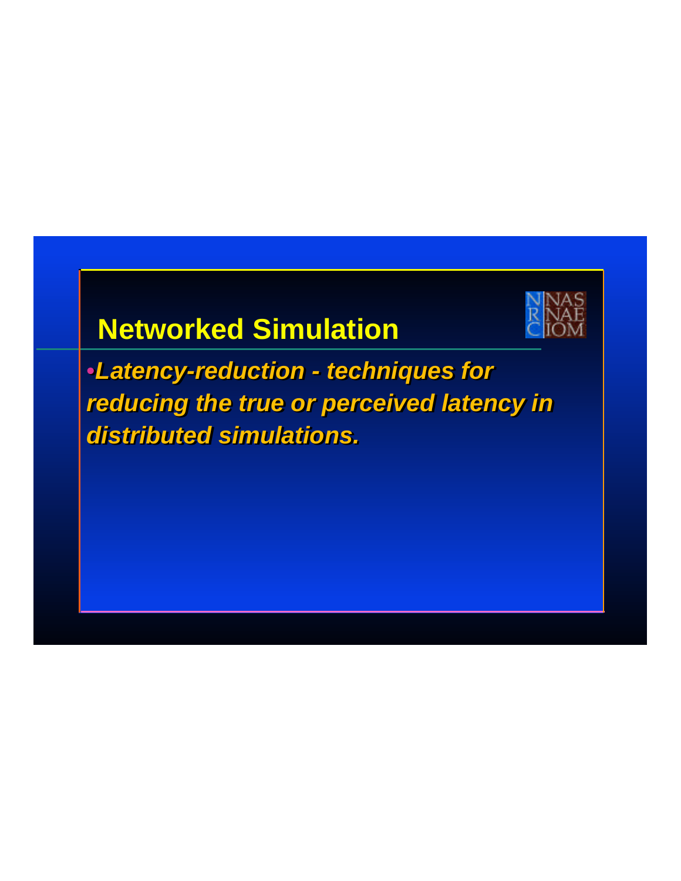# **Networked Simulation**



•*Latency-reduction - techniques for reducing the true or perceived latency in reducing the true or perceived latency in distributed simulations. distributed simulations.*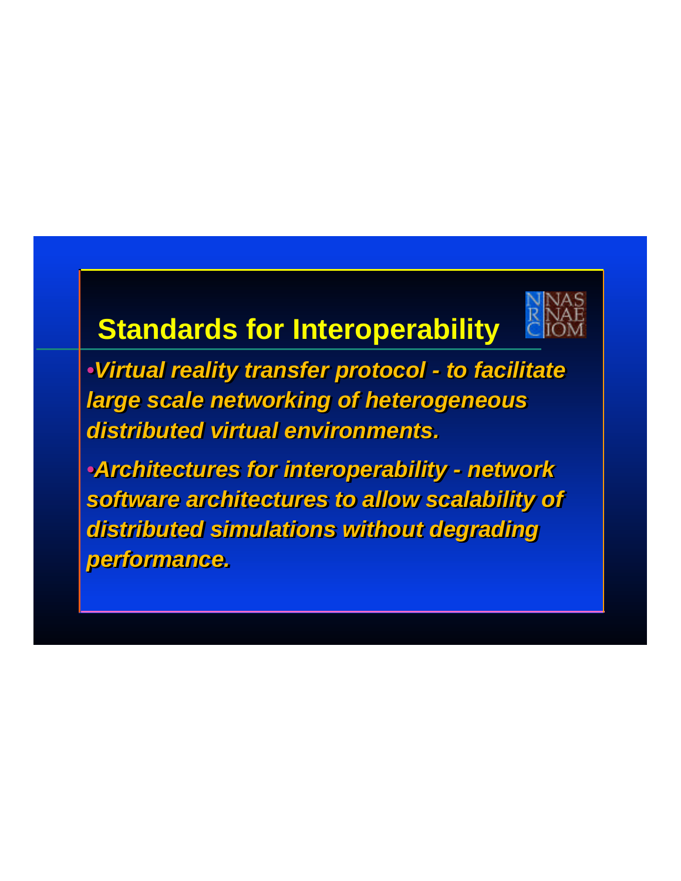

# **Standards for Interoperability**

•*Virtual reality transfer protocol - to facilitate*  •*Virtual reality transfer protocol - to facilitate large scale networking of heterogeneous large scale networking of heterogeneous distributed virtual environments. distributed virtual environments.*

•*Architectures for interoperability - network*  •*Architectures for interoperability - network software architectures to allow scalability of software architectures to allow scalability of distributed simulations without degrading distributed simulations without degrading performance. performance.*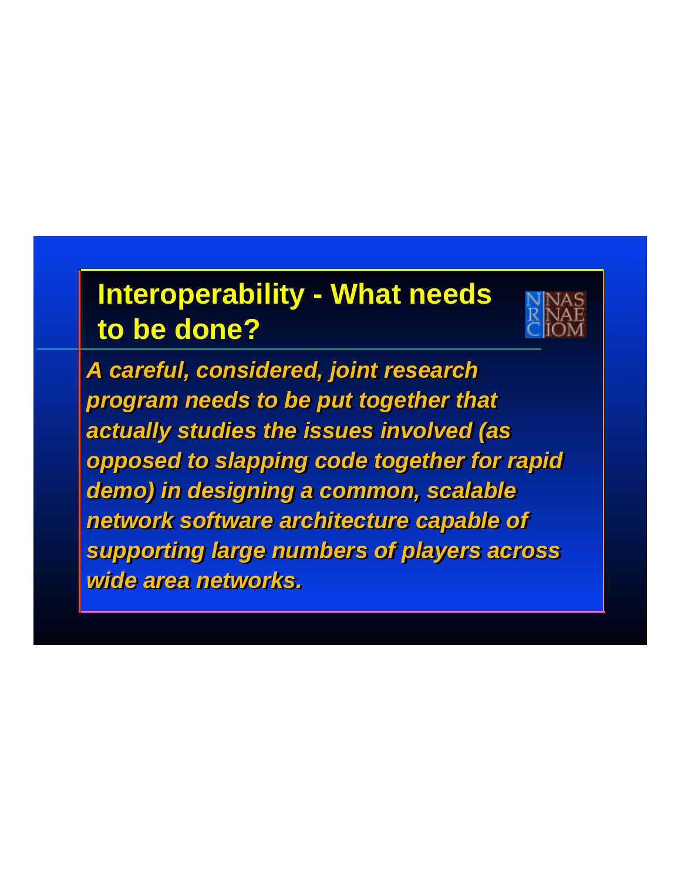# **Interoperability - What needs to be done?**



*A careful, considered, joint research A careful, considered, joint research program needs to be put together that program needs to be put together that actually studies the issues involved (as actually studies the issues involved (as opposed to slapping code together for rapid opposed to slapping code together for rapid demo) in designing a common, scalable demo) in designing a common, scalable network software architecture capable of network software architecture capable of supporting large numbers of players across supporting large numbers of players across wide area networks. wide area networks.*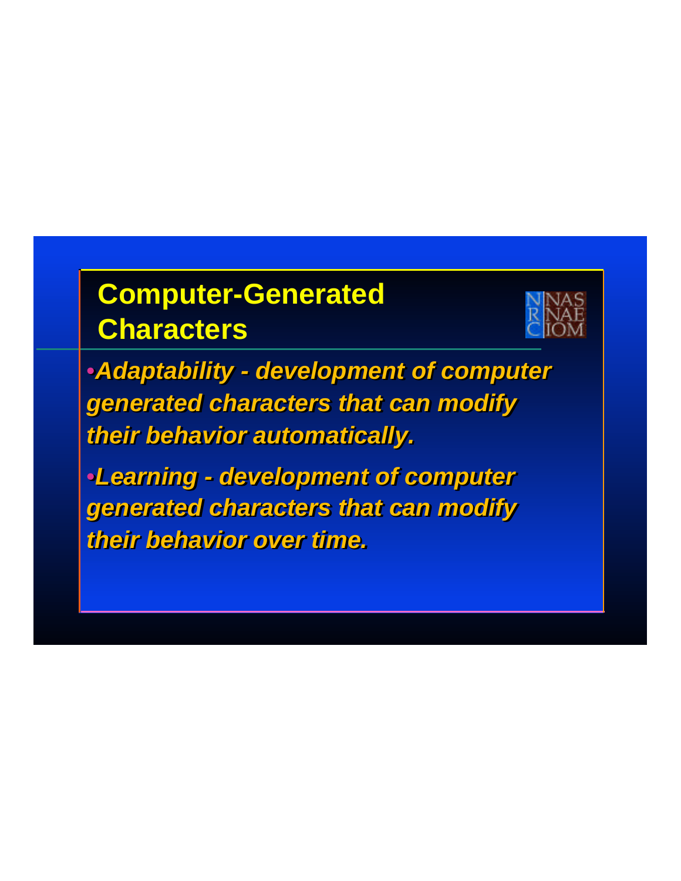

•*Adaptability - development of computer*  •*Adaptability - development of computer generated characters that can modify generated characters that can modify their behavior automatically. their behavior automatically.*

•*Learning - development of computer*  •*Learning - development of computer generated characters that can modify generated characters that can modify their behavior over time. their behavior over time.*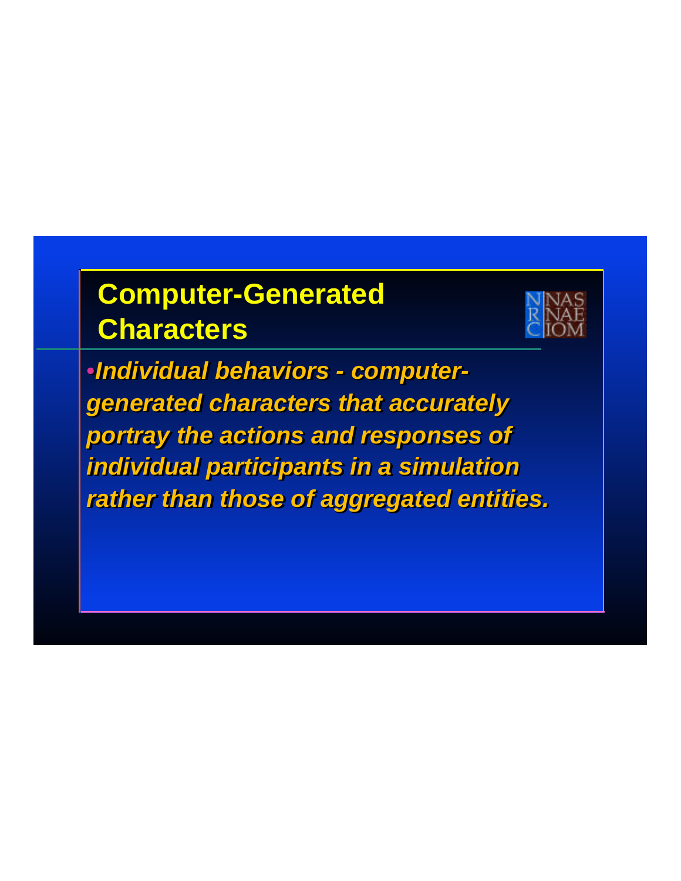

•*Individual behaviors - computer-*•*Individual behaviors - computergenerated characters that accurately generated characters that accurately portray the actions and responses of portray the actions and responses of individual participants in a simulation individual participants in a simulation rather than those of aggregated entities. rather than those of aggregated entities.*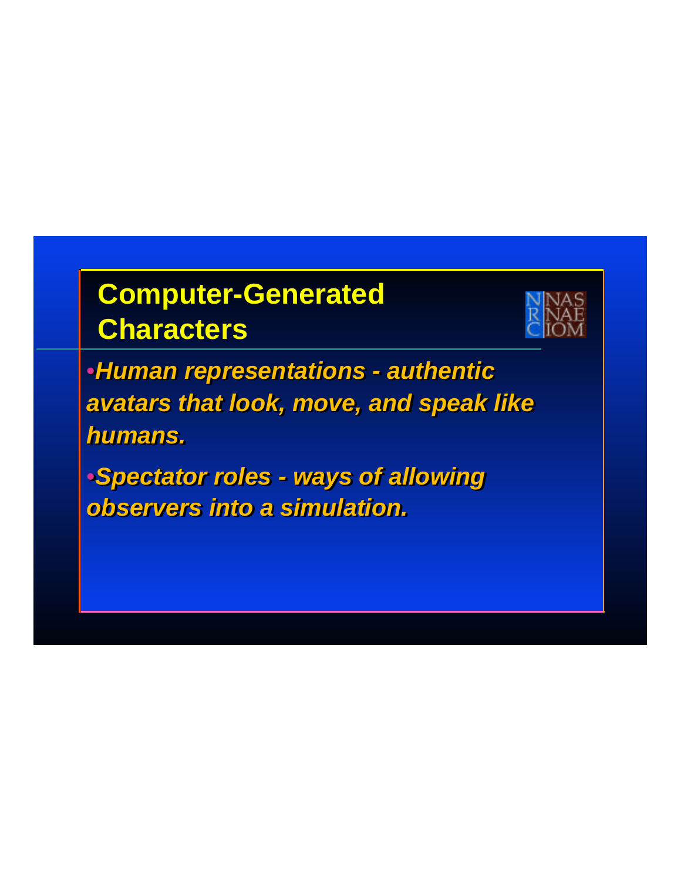

•*Human representations - authentic*  •*Human representations - authentic avatars that look, move, and speak like avatars that look, move, and speak like humans. humans.*

•*Spectator roles - ways of allowing*  •*Spectator roles - ways of allowing observers into a simulation. observers into a simulation.*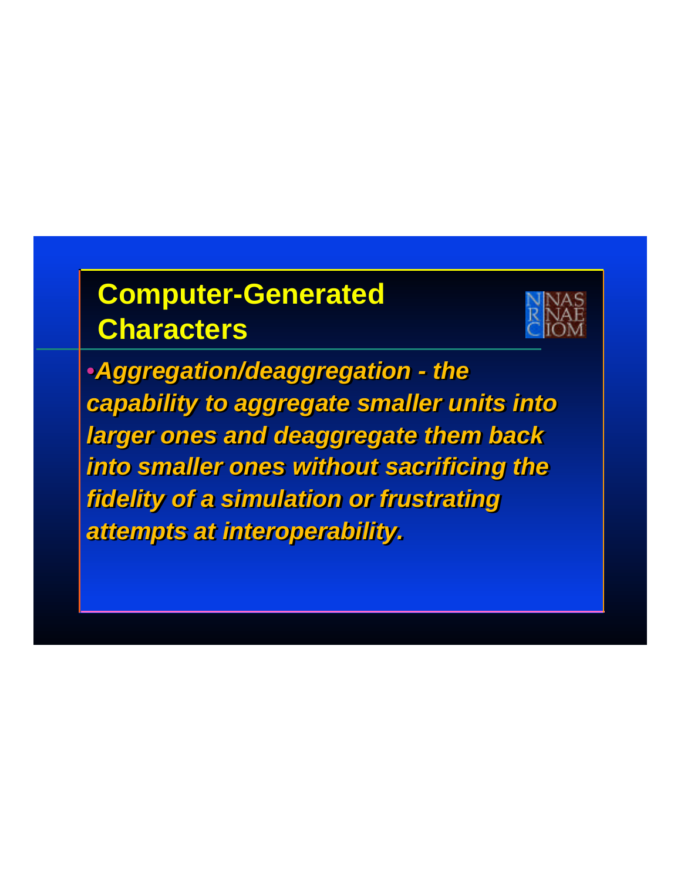

•*Aggregation/deaggregation - the*  •*Aggregation/deaggregation - the capability to aggregate smaller units into capability to aggregate smaller units into larger ones and deaggregate them back larger ones and deaggregate them back into smaller ones without sacrificing the into smaller ones without sacrificing the fidelity of a simulation or frustrating fidelity of a simulation or frustrating attempts at interoperability. attempts at interoperability.*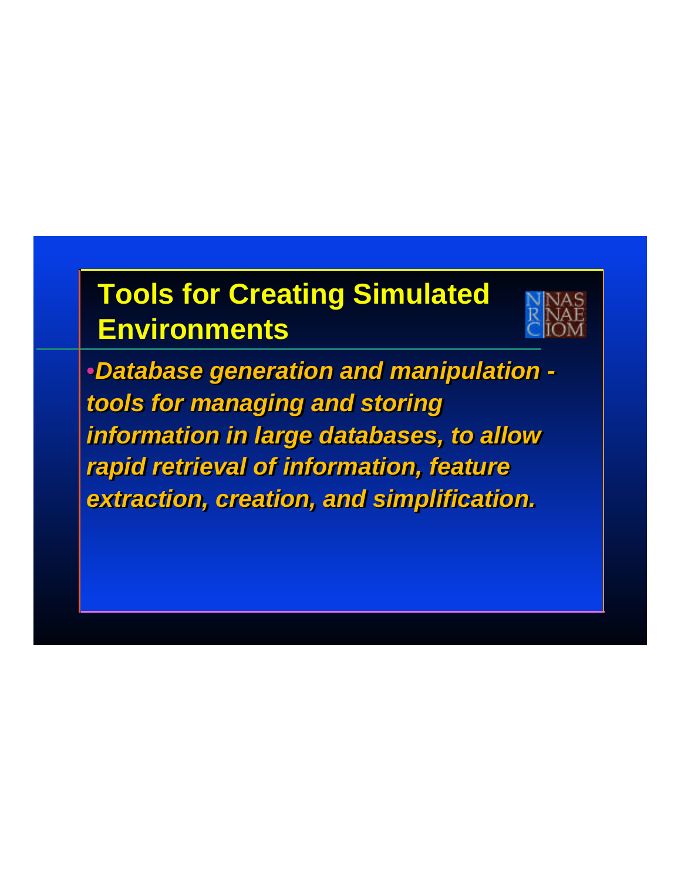# **Tools for Creating Simulated Environments**



•*Database generation and manipulation -*  •*Database generation and manipulation tools for managing and storing tools for managing and storing information in large databases, to allow information in large databases, to allow rapid retrieval of information, feature rapid retrieval of information, feature extraction, creation, and simplification. extraction, creation, and simplification.*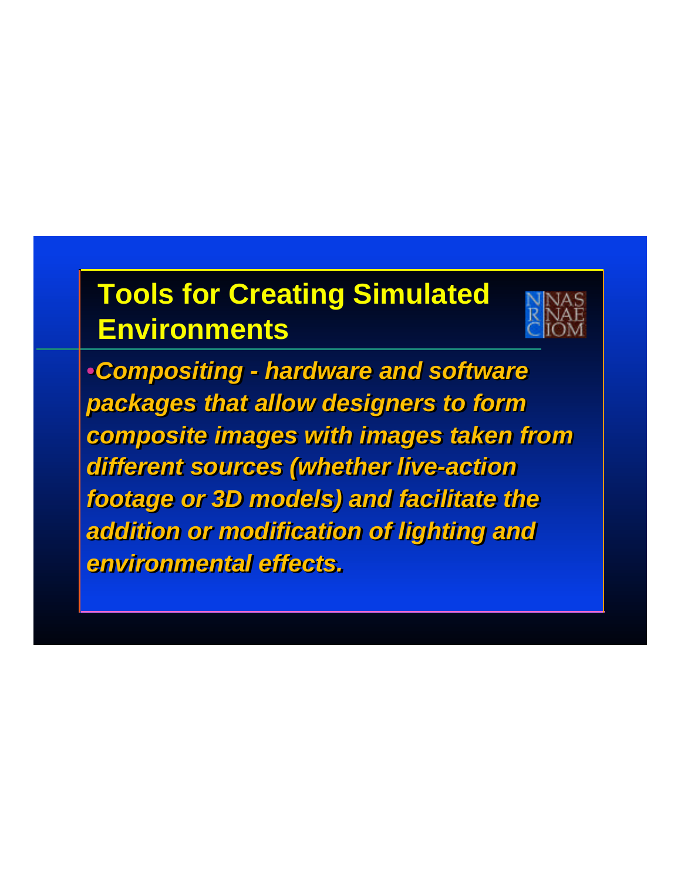# **Tools for Creating Simulated Environments**



•*Compositing - hardware and software*  •*Compositing - hardware and software packages that allow designers to form packages that allow designers to form composite images with images taken from composite images with images taken from different sources (whether live-action different sources (whether live-action footage or 3D models) and facilitate the footage or 3D models) and facilitate the addition or modification of lighting and addition or modification of lighting and environmental effects. environmental effects.*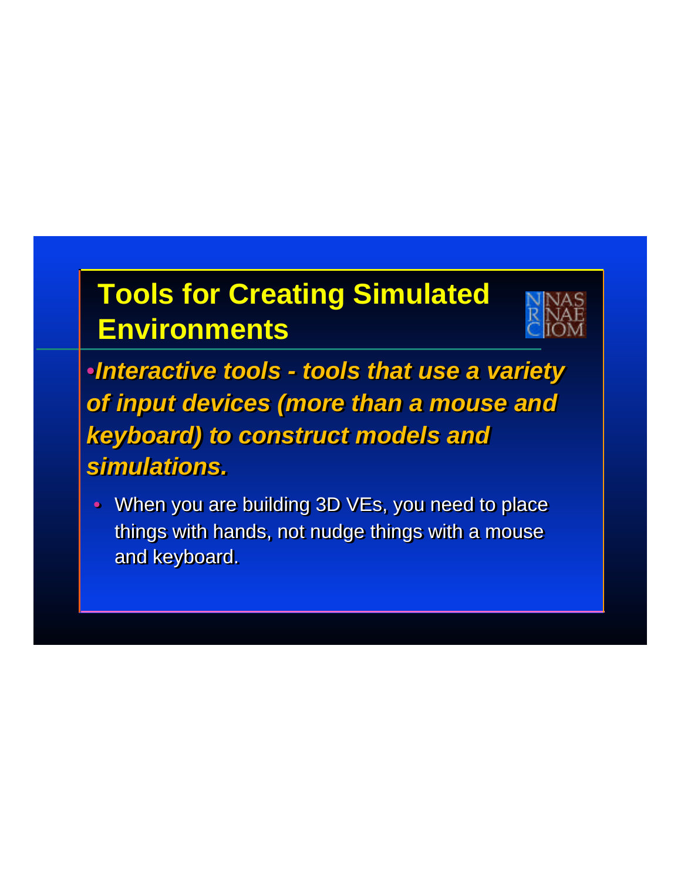# **Tools for Creating Simulated Environments**



•*Interactive tools - tools that use a variety*  •*Interactive tools - tools that use a variety of input devices (more than a mouse and of input devices (more than a mouse and keyboard) to construct models and keyboard) to construct models and simulations. simulations.*

• When you are building 3D VEs, you need to place  $\blacksquare$ things with hands, not nudge things with a mouse things with hands, not nudge things with a mouse and keyboard. and keyboard.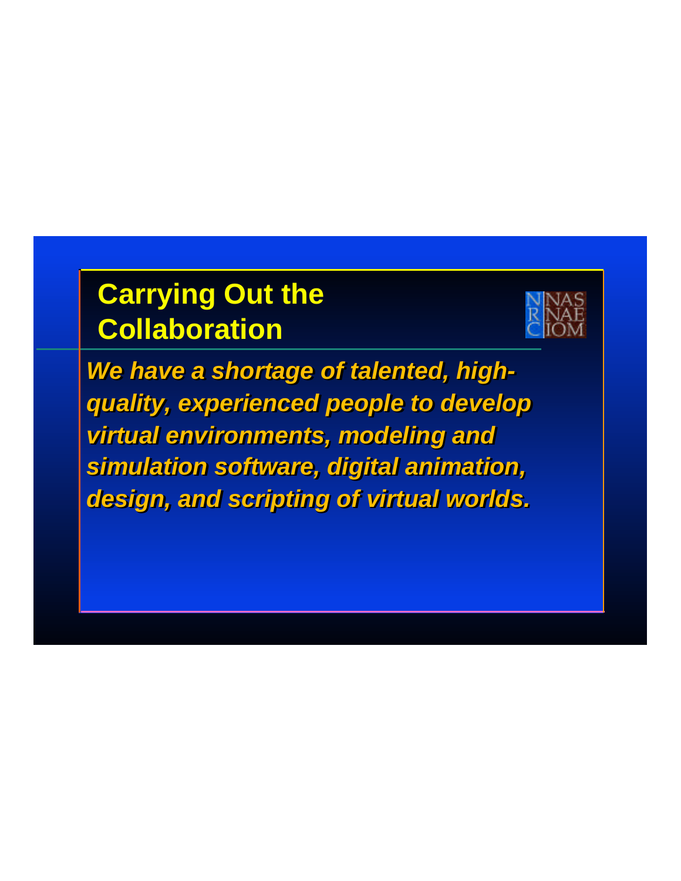# **Carrying Out the Collaboration**



*We have a shortage of talented, highquality, experienced people to develop quality, experienced people to develop virtual environments, modeling and virtual environments, modeling and simulation software, digital animation, simulation software, digital animation, design, and scripting of virtual worlds. design, and scripting of virtual worlds.*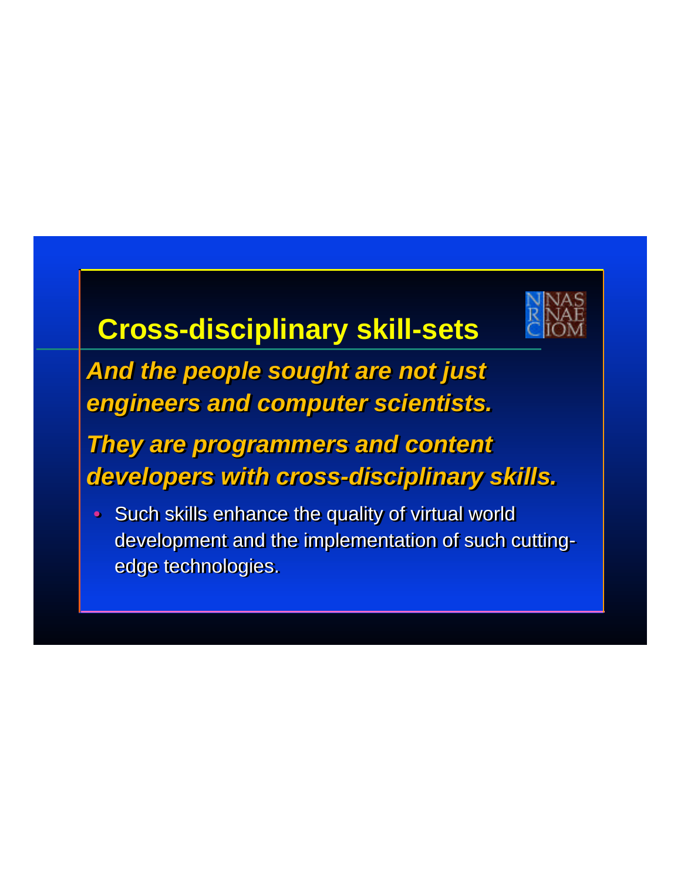

# **Cross-disciplinary skill-sets**

*And the people sought are not just And the people sought are not just engineers and computer scientists. engineers and computer scientists.* 

#### *They are programmers and content They are programmers and content developers with cross-disciplinary skills. developers with cross-disciplinary skills.*

• Such skills enhance the quality of virtual world • Such skills enhance the quality of virtual world development and the implementation of such cutting-development and the implementation of such cuttingedge technologies. edge technologies.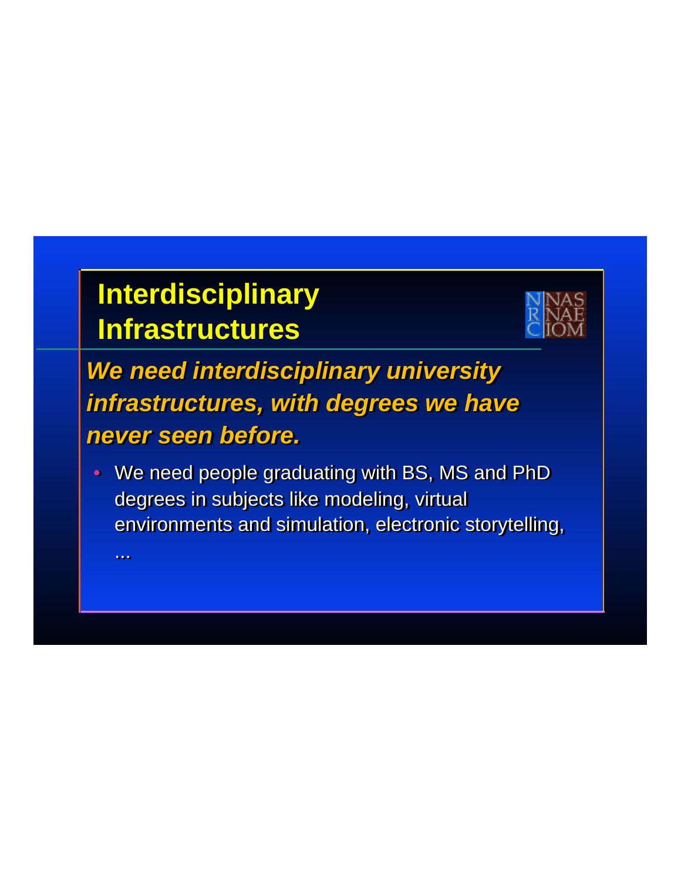# **Interdisciplinary Infrastructures**



*We need interdisciplinary university We need interdisciplinary university infrastructures, with degrees we have infrastructures, with degrees we have never seen before. never seen before.* 

• We need people graduating with BS, MS and PhD • We need people graduating with BS, MS and PhD degrees in subjects like modeling, virtual degrees in subjects like modeling, virtual environments and simulation, electronic storytelling, environments and simulation, electronic storytelling,

... ...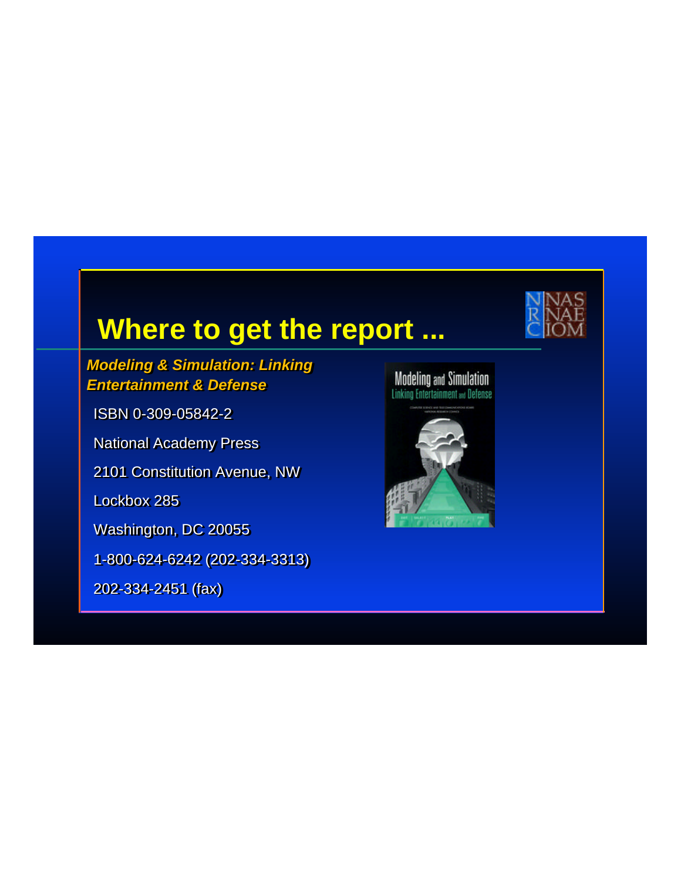#### **Where to get the report ...**

#### *Modeling & Simulation: Linking Modeling & Simulation: Linking Entertainment & Defense Entertainment & Defense*

ISBN 0-309-05842-2 ISBN 0-309-05842-2 National Academy Press National Academy Press 2101 Constitution Avenue, NW 2101 Constitution Avenue, NW Lockbox 285 Lockbox 285

Washington, DC 20055 Washington, DC 20055

1-800-624-6242 (202-334-3313) 1-800-624-6242 (202-334-3313)

202-334-2451 (fax) 202-334-2451 (fax)

**Modeling and Simulation**<br>Linking Entertainment **and Defense**